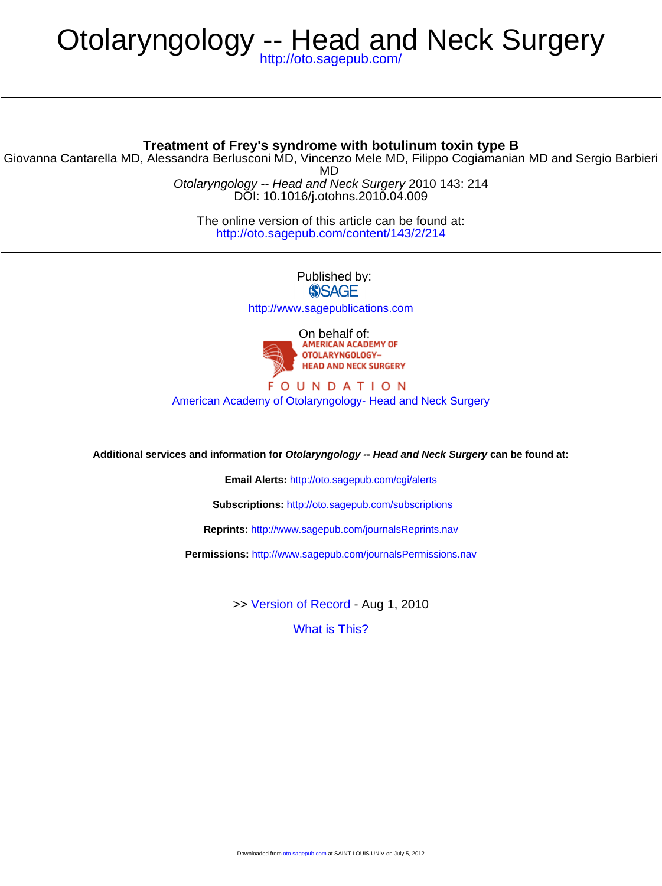# Otolaryngology -- Head and Neck Surgery

<http://oto.sagepub.com/>

### **Treatment of Frey's syndrome with botulinum toxin type B**

DOI: 10.1016/j.otohns.2010.04.009 Otolaryngology -- Head and Neck Surgery 2010 143: 214 MD Giovanna Cantarella MD, Alessandra Berlusconi MD, Vincenzo Mele MD, Filippo Cogiamanian MD and Sergio Barbieri

> <http://oto.sagepub.com/content/143/2/214> The online version of this article can be found at:

> > Published by: **SSAGE** <http://www.sagepublications.com>



#### **FOUNDATION** [American Academy of Otolaryngology- Head and Neck Surgery](http://www.entnet.org)

**Additional services and information for Otolaryngology -- Head and Neck Surgery can be found at:**

**Email Alerts:** <http://oto.sagepub.com/cgi/alerts>

**Subscriptions:** <http://oto.sagepub.com/subscriptions>

**Reprints:** <http://www.sagepub.com/journalsReprints.nav>

**Permissions:** <http://www.sagepub.com/journalsPermissions.nav>

>> [Version of Record -](http://oto.sagepub.com/content/143/2/214.full.pdf) Aug 1, 2010

[What is This?](http://online.sagepub.com/site/sphelp/vorhelp.xhtml)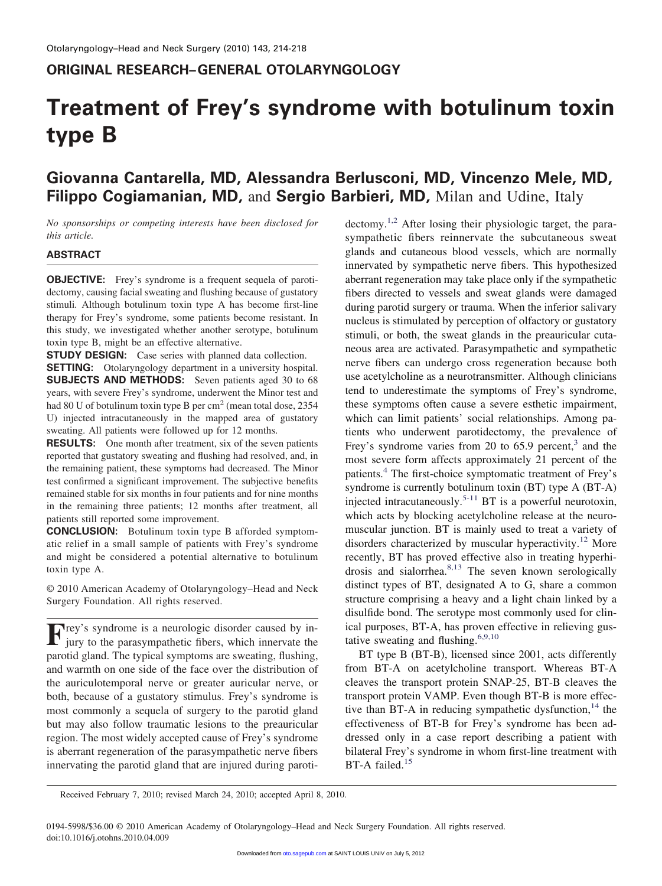## **ORIGINAL RESEARCH–GENERAL OTOLARYNGOLOGY**

# **Treatment of Frey's syndrome with botulinum toxin type B**

# **Giovanna Cantarella, MD, Alessandra Berlusconi, MD, Vincenzo Mele, MD, Filippo Cogiamanian, MD,** and **Sergio Barbieri, MD,** Milan and Udine, Italy

*No sponsorships or competing interests have been disclosed for this article.*

#### **ABSTRACT**

**OBJECTIVE:** Frey's syndrome is a frequent sequela of parotidectomy, causing facial sweating and flushing because of gustatory stimuli*.* Although botulinum toxin type A has become first-line therapy for Frey's syndrome, some patients become resistant. In this study, we investigated whether another serotype, botulinum toxin type B, might be an effective alternative.

**STUDY DESIGN:** Case series with planned data collection. **SETTING:** Otolaryngology department in a university hospital.

**SUBJECTS AND METHODS:** Seven patients aged 30 to 68 years, with severe Frey's syndrome, underwent the Minor test and had 80 U of botulinum toxin type B per cm<sup>2</sup> (mean total dose, 2354) U) injected intracutaneously in the mapped area of gustatory sweating. All patients were followed up for 12 months.

**RESULTS:** One month after treatment, six of the seven patients reported that gustatory sweating and flushing had resolved, and, in the remaining patient, these symptoms had decreased. The Minor test confirmed a significant improvement. The subjective benefits remained stable for six months in four patients and for nine months in the remaining three patients; 12 months after treatment, all patients still reported some improvement.

**CONCLUSION:** Botulinum toxin type B afforded symptomatic relief in a small sample of patients with Frey's syndrome and might be considered a potential alternative to botulinum toxin type A.

© 2010 American Academy of Otolaryngology–Head and Neck Surgery Foundation. All rights reserved.

**F**rey's syndrome is a neurologic disorder caused by injury to the parasympathetic fibers, which innervate the parotid gland. The typical symptoms are sweating, flushing, and warmth on one side of the face over the distribution of the auriculotemporal nerve or greater auricular nerve, or both, because of a gustatory stimulus. Frey's syndrome is most commonly a sequela of surgery to the parotid gland but may also follow traumatic lesions to the preauricular region. The most widely accepted cause of Frey's syndrome is aberrant regeneration of the parasympathetic nerve fibers innervating the parotid gland that are injured during paroti $\text{detomy.}^{1,2}$  After losing their physiologic target, the parasympathetic fibers reinnervate the subcutaneous sweat glands and cutaneous blood vessels, which are normally innervated by sympathetic nerve fibers. This hypothesized aberrant regeneration may take place only if the sympathetic fibers directed to vessels and sweat glands were damaged during parotid surgery or trauma. When the inferior salivary nucleus is stimulated by perception of olfactory or gustatory stimuli, or both, the sweat glands in the preauricular cutaneous area are activated. Parasympathetic and sympathetic nerve fibers can undergo cross regeneration because both use acetylcholine as a neurotransmitter. Although clinicians tend to underestimate the symptoms of Frey's syndrome, these symptoms often cause a severe esthetic impairment, which can limit patients' social relationships. Among patients who underwent parotidectomy, the prevalence of Frey's syndrome varies from 20 to  $65.9$  percent,<sup>3</sup> and the most severe form affects approximately 21 percent of the patients.<sup>4</sup> The first-choice symptomatic treatment of Frey's syndrome is currently botulinum toxin (BT) type A (BT-A) injected intracutaneously.<sup>5-11</sup> BT is a powerful neurotoxin, which acts by blocking acetylcholine release at the neuromuscular junction. BT is mainly used to treat a variety of disorders characterized by muscular hyperactivity.<sup>12</sup> More recently, BT has proved effective also in treating hyperhidrosis and sialorrhea.<sup>8,13</sup> The seven known serologically distinct types of BT, designated A to G, share a common structure comprising a heavy and a light chain linked by a disulfide bond. The serotype most commonly used for clinical purposes, BT-A, has proven effective in relieving gustative sweating and flushing.<sup>6,9,10</sup>

BT type B (BT-B), licensed since 2001, acts differently from BT-A on acetylcholine transport. Whereas BT-A cleaves the transport protein SNAP-25, BT-B cleaves the transport protein VAMP. Even though BT-B is more effective than BT-A in reducing sympathetic dysfunction, $14$  the effectiveness of BT-B for Frey's syndrome has been addressed only in a case report describing a patient with bilateral Frey's syndrome in whom first-line treatment with BT-A failed.<sup>15</sup>

Received February 7, 2010; revised March 24, 2010; accepted April 8, 2010.

0194-5998/\$36.00 © 2010 American Academy of Otolaryngology–Head and Neck Surgery Foundation. All rights reserved. doi:10.1016/j.otohns.2010.04.009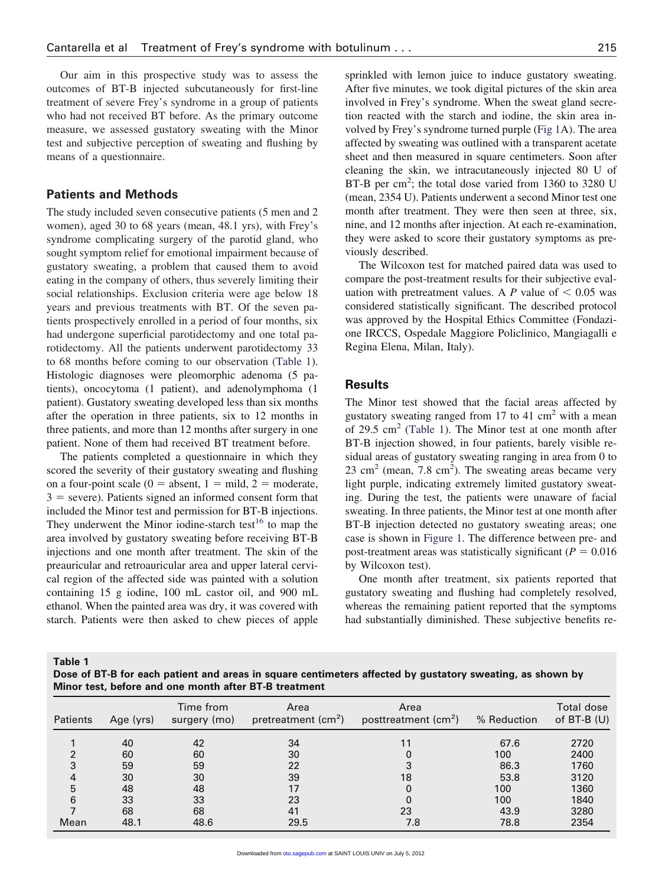Our aim in this prospective study was to assess the outcomes of BT-B injected subcutaneously for first-line treatment of severe Frey's syndrome in a group of patients who had not received BT before. As the primary outcome measure, we assessed gustatory sweating with the Minor test and subjective perception of sweating and flushing by means of a questionnaire.

#### **Patients and Methods**

The study included seven consecutive patients (5 men and 2 women), aged 30 to 68 years (mean, 48.1 yrs), with Frey's syndrome complicating surgery of the parotid gland, who sought symptom relief for emotional impairment because of gustatory sweating, a problem that caused them to avoid eating in the company of others, thus severely limiting their social relationships. Exclusion criteria were age below 18 years and previous treatments with BT. Of the seven patients prospectively enrolled in a period of four months, six had undergone superficial parotidectomy and one total parotidectomy. All the patients underwent parotidectomy 33 to 68 months before coming to our observation (Table 1). Histologic diagnoses were pleomorphic adenoma (5 patients), oncocytoma (1 patient), and adenolymphoma (1 patient). Gustatory sweating developed less than six months after the operation in three patients, six to 12 months in three patients, and more than 12 months after surgery in one patient. None of them had received BT treatment before.

The patients completed a questionnaire in which they scored the severity of their gustatory sweating and flushing on a four-point scale ( $0 =$  absent,  $1 =$  mild,  $2 =$  moderate,  $3 =$  severe). Patients signed an informed consent form that included the Minor test and permission for BT-B injections. They underwent the Minor iodine-starch test<sup>16</sup> to map the area involved by gustatory sweating before receiving BT-B injections and one month after treatment. The skin of the preauricular and retroauricular area and upper lateral cervical region of the affected side was painted with a solution containing 15 g iodine, 100 mL castor oil, and 900 mL ethanol. When the painted area was dry, it was covered with starch. Patients were then asked to chew pieces of apple sprinkled with lemon juice to induce gustatory sweating. After five minutes, we took digital pictures of the skin area involved in Frey's syndrome. When the sweat gland secretion reacted with the starch and iodine, the skin area involved by Frey's syndrome turned purple (Fig 1A). The area affected by sweating was outlined with a transparent acetate sheet and then measured in square centimeters. Soon after cleaning the skin, we intracutaneously injected 80 U of BT-B per  $\text{cm}^2$ ; the total dose varied from 1360 to 3280 U (mean, 2354 U). Patients underwent a second Minor test one month after treatment. They were then seen at three, six, nine, and 12 months after injection. At each re-examination, they were asked to score their gustatory symptoms as previously described.

The Wilcoxon test for matched paired data was used to compare the post-treatment results for their subjective evaluation with pretreatment values. A  $P$  value of  $\leq 0.05$  was considered statistically significant. The described protocol was approved by the Hospital Ethics Committee (Fondazione IRCCS, Ospedale Maggiore Policlinico, Mangiagalli e Regina Elena, Milan, Italy).

#### **Results**

The Minor test showed that the facial areas affected by gustatory sweating ranged from 17 to 41 cm<sup>2</sup> with a mean of 29.5  $\text{cm}^2$  (Table 1). The Minor test at one month after BT-B injection showed, in four patients, barely visible residual areas of gustatory sweating ranging in area from 0 to  $23 \text{ cm}^2$  (mean, 7.8 cm<sup>2</sup>). The sweating areas became very light purple, indicating extremely limited gustatory sweating. During the test, the patients were unaware of facial sweating. In three patients, the Minor test at one month after BT-B injection detected no gustatory sweating areas; one case is shown in Figure 1. The difference between pre- and post-treatment areas was statistically significant  $(P = 0.016$ by Wilcoxon test).

One month after treatment, six patients reported that gustatory sweating and flushing had completely resolved, whereas the remaining patient reported that the symptoms had substantially diminished. These subjective benefits re-

**Table 1**

**Dose of BT-B for each patient and areas in square centimeters affected by gustatory sweating, as shown by Minor test, before and one month after BT-B treatment**

| Patients | Age (yrs) | Time from<br>surgery (mo) | Area<br>pretreatment $\text{(cm}^2)$ | Area<br>posttreatment (cm <sup>2</sup> ) | % Reduction | Total dose<br>of $BT-B(U)$ |
|----------|-----------|---------------------------|--------------------------------------|------------------------------------------|-------------|----------------------------|
|          | 40        | 42                        | 34                                   |                                          | 67.6        | 2720                       |
| າ        | 60        | 60                        | 30                                   |                                          | 100         | 2400                       |
| 3        | 59        | 59                        | 22                                   |                                          | 86.3        | 1760                       |
| 4        | 30        | 30                        | 39                                   | 18                                       | 53.8        | 3120                       |
| 5        | 48        | 48                        | 17                                   |                                          | 100         | 1360                       |
| 6        | 33        | 33                        | 23                                   |                                          | 100         | 1840                       |
|          | 68        | 68                        | 41                                   | 23                                       | 43.9        | 3280                       |
| Mean     | 48.1      | 48.6                      | 29.5                                 | 7.8                                      | 78.8        | 2354                       |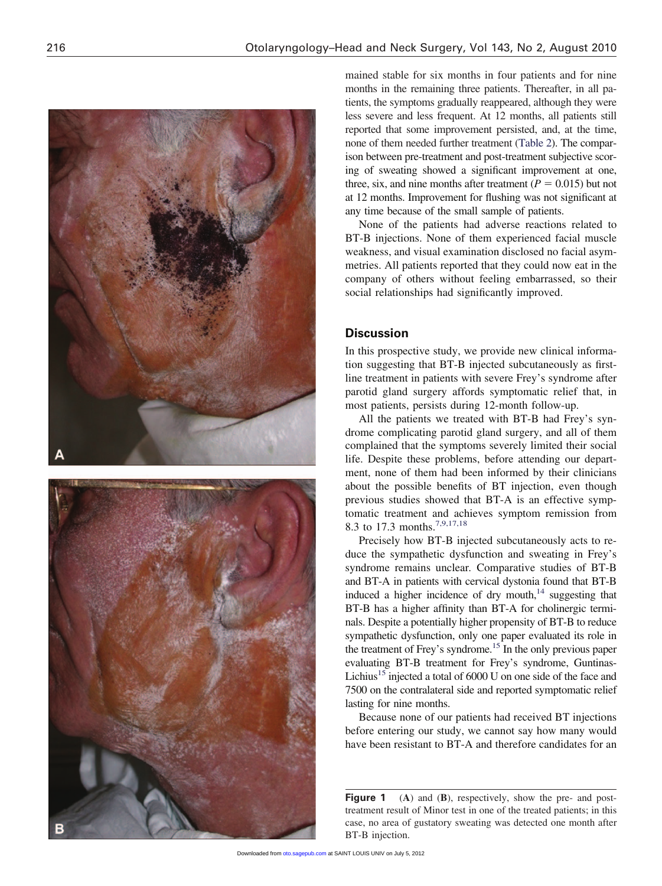



mained stable for six months in four patients and for nine months in the remaining three patients. Thereafter, in all patients, the symptoms gradually reappeared, although they were less severe and less frequent. At 12 months, all patients still reported that some improvement persisted, and, at the time, none of them needed further treatment (Table 2). The comparison between pre-treatment and post-treatment subjective scoring of sweating showed a significant improvement at one, three, six, and nine months after treatment  $(P = 0.015)$  but not at 12 months. Improvement for flushing was not significant at any time because of the small sample of patients.

None of the patients had adverse reactions related to BT-B injections. None of them experienced facial muscle weakness, and visual examination disclosed no facial asymmetries. All patients reported that they could now eat in the company of others without feeling embarrassed, so their social relationships had significantly improved.

#### **Discussion**

In this prospective study, we provide new clinical information suggesting that BT-B injected subcutaneously as firstline treatment in patients with severe Frey's syndrome after parotid gland surgery affords symptomatic relief that, in most patients, persists during 12-month follow-up.

All the patients we treated with BT-B had Frey's syndrome complicating parotid gland surgery, and all of them complained that the symptoms severely limited their social life. Despite these problems, before attending our department, none of them had been informed by their clinicians about the possible benefits of BT injection, even though previous studies showed that BT-A is an effective symptomatic treatment and achieves symptom remission from 8.3 to 17.3 months.7,9,17,18

Precisely how BT-B injected subcutaneously acts to reduce the sympathetic dysfunction and sweating in Frey's syndrome remains unclear*.* Comparative studies of BT-B and BT-A in patients with cervical dystonia found that BT-B induced a higher incidence of dry mouth, $14$  suggesting that BT-B has a higher affinity than BT-A for cholinergic terminals. Despite a potentially higher propensity of BT-B to reduce sympathetic dysfunction, only one paper evaluated its role in the treatment of Frey's syndrome.<sup>15</sup> In the only previous paper evaluating BT-B treatment for Frey's syndrome, Guntinas-Lichius<sup>15</sup> injected a total of  $6000$  U on one side of the face and 7500 on the contralateral side and reported symptomatic relief lasting for nine months.

Because none of our patients had received BT injections before entering our study, we cannot say how many would have been resistant to BT-A and therefore candidates for an

**Figure 1** (A) and (B), respectively, show the pre- and posttreatment result of Minor test in one of the treated patients; in this case, no area of gustatory sweating was detected one month after BT-B injection.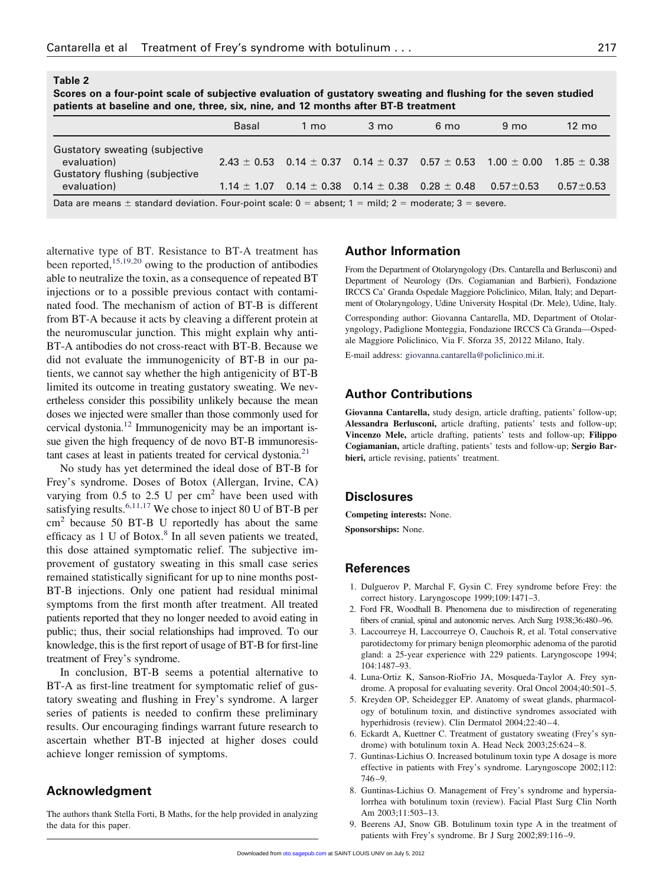**Table 2**

Gustatory flushing (subjective

| Scores on a four-point scale of subjective evaluation of qustatory sweating and flushing for the seven studied<br>patients at baseline and one, three, six, nine, and 12 months after BT-B treatment |       |      |      |      |                |                 |  |  |  |  |  |
|------------------------------------------------------------------------------------------------------------------------------------------------------------------------------------------------------|-------|------|------|------|----------------|-----------------|--|--|--|--|--|
|                                                                                                                                                                                                      | Basal | l mo | 3 mo | 6 mo | $9 \text{ mo}$ | $12 \text{ mo}$ |  |  |  |  |  |
| <b>Gustatory sweating (subjective</b>                                                                                                                                                                |       |      |      |      |                |                 |  |  |  |  |  |

evaluation) 2.43  $\pm$  0.53  $\,$  0.14  $\pm$  0.37  $\,$  0.14  $\pm$  0.37  $\,$  0.57  $\pm$  0.53  $\,$  1.00  $\pm$  0.00  $\,$  1.85  $\pm$  0.38  $\,$ 

evaluation) 1.14  $\pm$  1.07 0.14  $\pm$  0.38 0.14  $\pm$  0.38 0.28  $\pm$  0.48 0.57 $\pm$ 0.53 0.57 $\pm$ 0.53

Data are means  $\pm$  standard deviation. Four-point scale:  $0 =$  absent;  $1 =$  mild;  $2 =$  moderate;  $3 =$  severe.

alternative type of BT. Resistance to BT-A treatment has been reported,<sup>15,19,20</sup> owing to the production of antibodies able to neutralize the toxin, as a consequence of repeated BT injections or to a possible previous contact with contaminated food. The mechanism of action of BT-B is different from BT-A because it acts by cleaving a different protein at the neuromuscular junction. This might explain why anti-BT-A antibodies do not cross-react with BT-B. Because we did not evaluate the immunogenicity of BT-B in our patients, we cannot say whether the high antigenicity of BT-B limited its outcome in treating gustatory sweating. We nevertheless consider this possibility unlikely because the mean doses we injected were smaller than those commonly used for cervical dystonia.12 Immunogenicity may be an important issue given the high frequency of de novo BT-B immunoresistant cases at least in patients treated for cervical dystonia.<sup>21</sup>

No study has yet determined the ideal dose of BT-B for Frey's syndrome. Doses of Botox (Allergan, Irvine, CA) varying from  $0.5$  to  $2.5$  U per cm<sup>2</sup> have been used with satisfying results.<sup>6,11,17</sup> We chose to inject 80 U of BT-B per cm<sup>2</sup> because 50 BT-B U reportedly has about the same efficacy as  $1 \text{ U}$  of Botox.<sup>8</sup> In all seven patients we treated, this dose attained symptomatic relief. The subjective improvement of gustatory sweating in this small case series remained statistically significant for up to nine months post-BT-B injections. Only one patient had residual minimal symptoms from the first month after treatment. All treated patients reported that they no longer needed to avoid eating in public; thus, their social relationships had improved. To our knowledge, this is the first report of usage of BT-B for first-line treatment of Frey's syndrome.

In conclusion, BT-B seems a potential alternative to BT-A as first-line treatment for symptomatic relief of gustatory sweating and flushing in Frey's syndrome. A larger series of patients is needed to confirm these preliminary results. Our encouraging findings warrant future research to ascertain whether BT-B injected at higher doses could achieve longer remission of symptoms.

#### **Acknowledgment**

The authors thank Stella Forti, B Maths, for the help provided in analyzing the data for this paper.

#### **Author Information**

From the Department of Otolaryngology (Drs. Cantarella and Berlusconi) and Department of Neurology (Drs. Cogiamanian and Barbieri), Fondazione IRCCS Ca' Granda Ospedale Maggiore Policlinico, Milan, Italy; and Department of Otolaryngology, Udine University Hospital (Dr. Mele), Udine, Italy.

Corresponding author: Giovanna Cantarella, MD, Department of Otolaryngology, Padiglione Monteggia, Fondazione IRCCS Cà Granda—Ospedale Maggiore Policlinico, Via F. Sforza 35, 20122 Milano, Italy.

E-mail address: giovanna.cantarella@policlinico.mi.it.

#### **Author Contributions**

**Giovanna Cantarella,** study design, article drafting, patients' follow-up; **Alessandra Berlusconi,** article drafting, patients' tests and follow-up; **Vincenzo Mele,** article drafting, patients' tests and follow-up; **Filippo Cogiamanian,** article drafting, patients' tests and follow-up; **Sergio Barbieri,** article revising, patients' treatment.

#### **Disclosures**

**Competing interests:** None.

**Sponsorships:** None.

#### **References**

- 1. Dulguerov P, Marchal F, Gysin C. Frey syndrome before Frey: the correct history. Laryngoscope 1999;109:1471–3.
- 2. Ford FR, Woodhall B. Phenomena due to misdirection of regenerating fibers of cranial, spinal and autonomic nerves. Arch Surg 1938;36:480–96.
- 3. Laccourreye H, Laccourreye O, Cauchois R, et al. Total conservative parotidectomy for primary benign pleomorphic adenoma of the parotid gland: a 25-year experience with 229 patients. Laryngoscope 1994; 104:1487–93.
- 4. Luna-Ortiz K, Sanson-RioFrio JA, Mosqueda-Taylor A. Frey syndrome. A proposal for evaluating severity. Oral Oncol 2004;40:501–5.
- 5. Kreyden OP, Scheidegger EP. Anatomy of sweat glands, pharmacology of botulinum toxin, and distinctive syndromes associated with hyperhidrosis (review). Clin Dermatol 2004;22:40-4.
- 6. Eckardt A, Kuettner C. Treatment of gustatory sweating (Frey's syndrome) with botulinum toxin A. Head Neck 2003;25:624 – 8.
- 7. Guntinas-Lichius O. Increased botulinum toxin type A dosage is more effective in patients with Frey's syndrome. Laryngoscope 2002;112: 746 –9.
- 8. Guntinas-Lichius O. Management of Frey's syndrome and hypersialorrhea with botulinum toxin (review). Facial Plast Surg Clin North Am 2003;11:503–13.
- 9. Beerens AJ, Snow GB. Botulinum toxin type A in the treatment of patients with Frey's syndrome. Br J Surg 2002;89:116 –9.